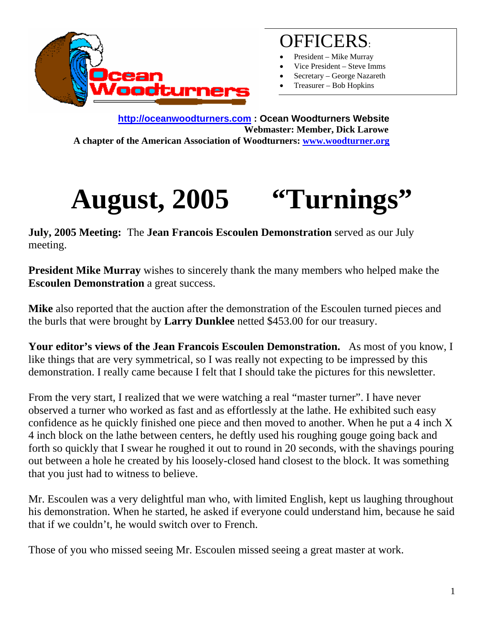

## OFFICERS:

- President Mike Murray
- Vice President Steve Imms
- Secretary George Nazareth
- Treasurer Bob Hopkins

**http://oceanwoodturners.com : Ocean Woodturners Website Webmaster: Member, Dick Larowe A chapter of the American Association of Woodturners: www.woodturner.org** 

## **August, 2005 "Turnings"**

**July, 2005 Meeting:** The **Jean Francois Escoulen Demonstration** served as our July meeting.

**President Mike Murray** wishes to sincerely thank the many members who helped make the **Escoulen Demonstration** a great success.

**Mike** also reported that the auction after the demonstration of the Escoulen turned pieces and the burls that were brought by **Larry Dunklee** netted \$453.00 for our treasury.

**Your editor's views of the Jean Francois Escoulen Demonstration.** As most of you know, I like things that are very symmetrical, so I was really not expecting to be impressed by this demonstration. I really came because I felt that I should take the pictures for this newsletter.

From the very start, I realized that we were watching a real "master turner". I have never observed a turner who worked as fast and as effortlessly at the lathe. He exhibited such easy confidence as he quickly finished one piece and then moved to another. When he put a 4 inch X 4 inch block on the lathe between centers, he deftly used his roughing gouge going back and forth so quickly that I swear he roughed it out to round in 20 seconds, with the shavings pouring out between a hole he created by his loosely-closed hand closest to the block. It was something that you just had to witness to believe.

Mr. Escoulen was a very delightful man who, with limited English, kept us laughing throughout his demonstration. When he started, he asked if everyone could understand him, because he said that if we couldn't, he would switch over to French.

Those of you who missed seeing Mr. Escoulen missed seeing a great master at work.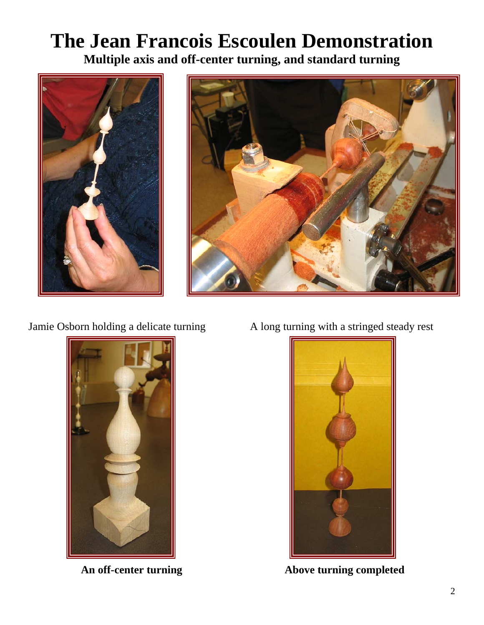## **The Jean Francois Escoulen Demonstration Multiple axis and off-center turning, and standard turning**





Jamie Osborn holding a delicate turning A long turning with a stringed steady rest





An off-center turning **Above turning completed**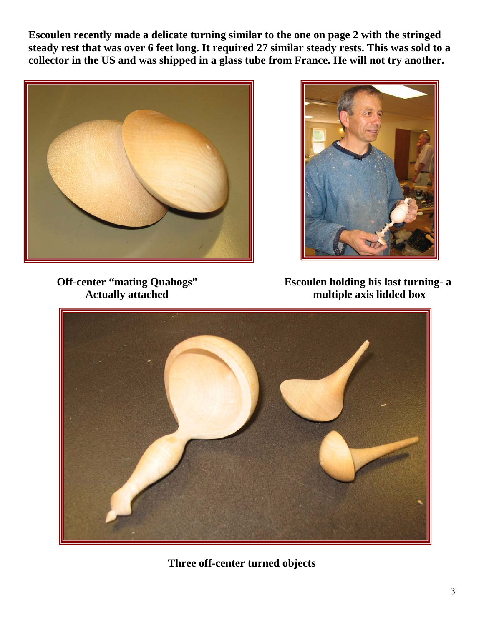**Escoulen recently made a delicate turning similar to the one on page 2 with the stringed steady rest that was over 6 feet long. It required 27 similar steady rests. This was sold to a collector in the US and was shipped in a glass tube from France. He will not try another.** 





Off-center "mating Quahogs" Escoulen holding his last turning- a<br>Actually attached multiple axis lidded box multiple axis lidded box



**Three off-center turned objects**